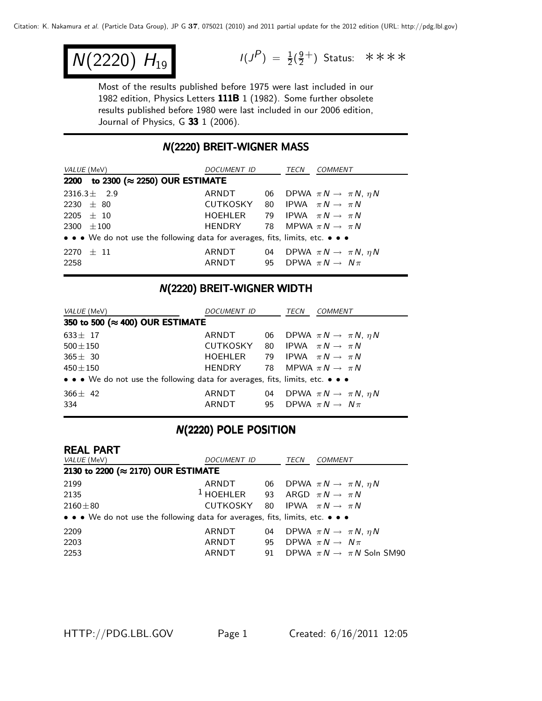$$
N(2220) H_{19}
$$

 $N(2220)$   $H_{19}$   $I(J^P) = \frac{1}{2}(\frac{9}{2}^+)$  Status: \*\*\*\*

Most of the results published before 1975 were last included in our 1982 edition, Physics Letters 111B 1 (1982). Some further obsolete results published before 1980 were last included in our 2006 edition, Journal of Physics, G 33 1 (2006).

## N(2220) BREIT-WIGNER MASS (2220) BREIT-WIGNER MASS

| <i>VALUE</i> (MeV)                                                            | <i>DOCUMENT ID</i> |    | TECN | COMMENT                                   |
|-------------------------------------------------------------------------------|--------------------|----|------|-------------------------------------------|
| 2200 to 2300 (≈ 2250) OUR ESTIMATE                                            |                    |    |      |                                           |
| $2316.3\pm 2.9$                                                               | ARNDT              | 06 |      | DPWA $\pi N \rightarrow \pi N$ , $\eta N$ |
| 2230 $\pm$ 80                                                                 | CUTKOSKY 80        |    |      | IPWA $\pi N \rightarrow \pi N$            |
| $2205 \pm 10$                                                                 | HOEHLER            | 79 |      | IPWA $\pi N \rightarrow \pi N$            |
| 2300 $\pm 100$                                                                | <b>HENDRY</b>      |    |      | 78 MPWA $\pi N \rightarrow \pi N$         |
| • • • We do not use the following data for averages, fits, limits, etc. • • • |                    |    |      |                                           |
| $2270 \pm 11$                                                                 | ARNDT              | 04 |      | DPWA $\pi N \rightarrow \pi N$ , $\eta N$ |
| 2258                                                                          | ARNDT              |    |      | 95 DPWA $\pi N \rightarrow N \pi$         |

## N(2220) BREIT-WIGNER WIDTH

| <i>VALUE</i> (MeV)                                                            | <i>DOCUMENT ID</i>                         |    | TECN | COMMENT                                   |  |  |  |
|-------------------------------------------------------------------------------|--------------------------------------------|----|------|-------------------------------------------|--|--|--|
|                                                                               | 350 to 500 (≈ 400) OUR ESTIMATE            |    |      |                                           |  |  |  |
| $633 \pm 17$                                                                  | ARNDT                                      | 06 |      | DPWA $\pi N \rightarrow \pi N$ , $\eta N$ |  |  |  |
| $500 \pm 150$                                                                 | CUTKOSKY 80 IPWA $\pi N \rightarrow \pi N$ |    |      |                                           |  |  |  |
| $365 \pm 30$                                                                  | HOEHLER                                    |    |      | 79 IPWA $\pi N \rightarrow \pi N$         |  |  |  |
| $450 \pm 150$                                                                 | HENDRY                                     |    |      | 78 MPWA $\pi N \rightarrow \pi N$         |  |  |  |
| • • • We do not use the following data for averages, fits, limits, etc. • • • |                                            |    |      |                                           |  |  |  |
| $366 \pm 42$                                                                  | ARNDT                                      | 04 |      | DPWA $\pi N \rightarrow \pi N$ , $\eta N$ |  |  |  |
| 334                                                                           | ARNDT                                      |    |      | 95 DPWA $\pi N \rightarrow N \pi$         |  |  |  |

# N(2220) POLE POSITION

### REAL PART

| VALUE (MeV)                                                                   | DOCUMENT ID    |    | <b>TECN</b> | COMMENT                                   |  |  |  |
|-------------------------------------------------------------------------------|----------------|----|-------------|-------------------------------------------|--|--|--|
| 2130 to 2200 (≈ 2170) OUR ESTIMATE                                            |                |    |             |                                           |  |  |  |
| 2199                                                                          | ARNDT          | 06 |             | DPWA $\pi N \rightarrow \pi N$ , $\eta N$ |  |  |  |
| 2135                                                                          | $1$ HOEHLER 93 |    |             | ARGD $\pi N \rightarrow \pi N$            |  |  |  |
| $2160 \pm 80$                                                                 | CUTKOSKY 80    |    |             | IPWA $\pi N \rightarrow \pi N$            |  |  |  |
| • • • We do not use the following data for averages, fits, limits, etc. • • • |                |    |             |                                           |  |  |  |
| 2209                                                                          | ARNDT          | 04 |             | DPWA $\pi N \rightarrow \pi N$ , $\eta N$ |  |  |  |
| 2203                                                                          | ARNDT          | 95 |             | DPWA $\pi N \rightarrow N \pi$            |  |  |  |
| 2253                                                                          | ARNDT          | 91 |             | DPWA $\pi N \rightarrow \pi N$ Soln SM90  |  |  |  |
|                                                                               |                |    |             |                                           |  |  |  |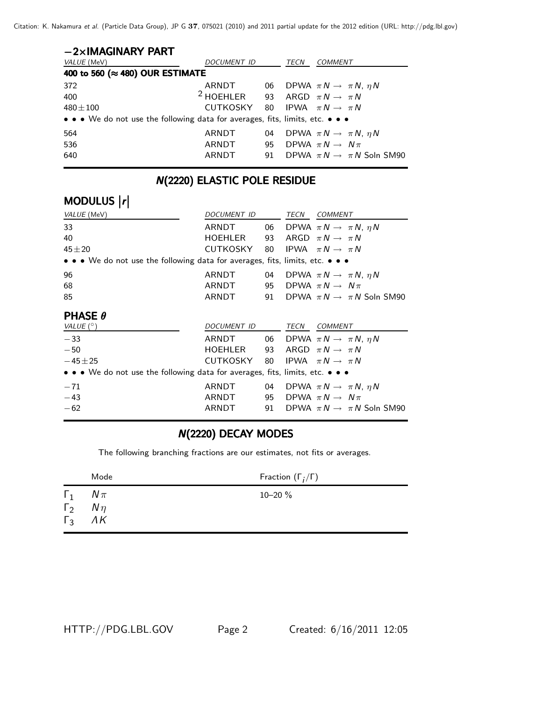Citation: K. Nakamura et al. (Particle Data Group), JP G **37**, 075021 (2010) and 2011 partial update for the 2012 edition (URL: http://pdg.lbl.gov)

| $-2\times$ IMAGINARY PART                                                     |                      |    |      |                                              |
|-------------------------------------------------------------------------------|----------------------|----|------|----------------------------------------------|
| <i>VALUE</i> (MeV)                                                            | <i>DOCUMENT ID</i>   |    | TECN | COMMENT                                      |
| 400 to 560 (≈ 480) OUR ESTIMATE                                               |                      |    |      |                                              |
| 372                                                                           | ARNDT                |    |      | 06 DPWA $\pi N \rightarrow \pi N$ , $\eta N$ |
| 400                                                                           | <sup>2</sup> HOEHLER |    |      | 93 ARGD $\pi N \rightarrow \pi N$            |
| $480 \pm 100$                                                                 | CUTKOSKY             | 80 |      | IPWA $\pi N \rightarrow \pi N$               |
| • • • We do not use the following data for averages, fits, limits, etc. • • • |                      |    |      |                                              |
| 564                                                                           | ARNDT                | 04 |      | DPWA $\pi N \rightarrow \pi N$ , $\eta N$    |
| 536                                                                           | ARNDT                | 95 |      | DPWA $\pi N \rightarrow N \pi$               |
| 640                                                                           | ARNDT                | 91 |      | DPWA $\pi N \rightarrow \pi N$ Soln SM90     |

# **N(2220) ELASTIC POLE RESIDUE**

# MODULUS |r|

| VALUE (MeV)                                                                   | DOCUMENT ID |    | TECN COMMENT                                 |
|-------------------------------------------------------------------------------|-------------|----|----------------------------------------------|
| 33                                                                            | ARNDT       | 06 | DPWA $\pi N \rightarrow \pi N$ , $\eta N$    |
| 40                                                                            | HOEHLER     | 93 | ARGD $\pi N \rightarrow \pi N$               |
| $45 + 20$                                                                     | CUTKOSKY    | 80 | IPWA $\pi N \rightarrow \pi N$               |
| • • • We do not use the following data for averages, fits, limits, etc. • • • |             |    |                                              |
| 96                                                                            | ARNDT       |    | 04 DPWA $\pi N \rightarrow \pi N$ , $\eta N$ |
| 68                                                                            | ARNDT       | 95 | DPWA $\pi N \rightarrow N \pi$               |
| 85                                                                            | ARNDT       | 91 | DPWA $\pi N \rightarrow \pi N$ Soln SM90     |
|                                                                               |             |    |                                              |
| <b>PHASE <math>\theta</math></b><br>VALUE $(^\circ)$                          | DOCUMENT ID |    | TECN COMMENT                                 |
| $-33$                                                                         | ARNDT       |    | 06 DPWA $\pi N \rightarrow \pi N$ , $\eta N$ |
| $-50$                                                                         | HOEHLER     |    | 93 ARGD $\pi N \rightarrow \pi N$            |
| $-45 \pm 25$                                                                  | CUTKOSKY    | 80 | IPWA $\pi N \rightarrow \pi N$               |
| • • • We do not use the following data for averages, fits, limits, etc. • • • |             |    |                                              |
| $-71$                                                                         | ARNDT       | 04 | DPWA $\pi N \rightarrow \pi N$ , $\eta N$    |
| $-43$                                                                         | ARNDT       | 95 | DPWA $\pi N \rightarrow N \pi$               |
| $-62$                                                                         | ARNDT       | 91 | DPWA $\pi N \rightarrow \pi N$ Soln SM90     |

# **N(2220) DECAY MODES**

The following branching fractions are our estimates, not fits or averages.

|                          | Mode                                        | Fraction $(\Gamma_i/\Gamma)$ |
|--------------------------|---------------------------------------------|------------------------------|
| $\Gamma_1$<br>$\Gamma_2$ | $N\pi$<br>$N\eta$<br>$\Gamma_3$ $\Lambda K$ | 10-20 %                      |